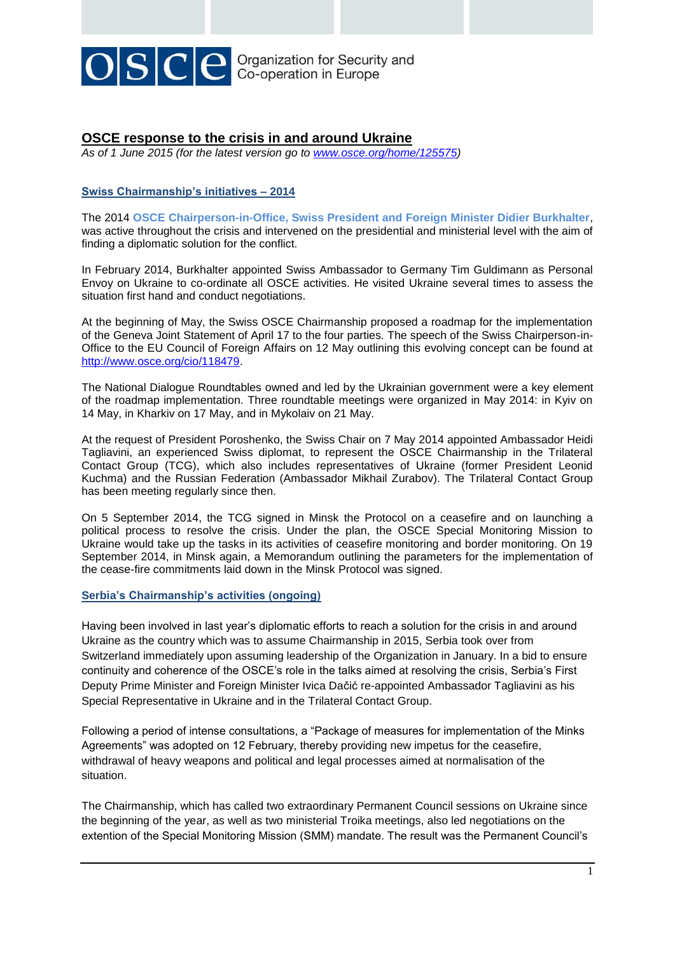

# **OSCE response to the crisis in and around Ukraine**

*As of 1 June 2015 (for the latest version go to [www.osce.org/home/125575\)](http://www.osce.org/home/125575)* 

## **Swiss Chairmanship's initiatives – 2014**

The 2014 **OSCE Chairperson-in-Office, Swiss President and Foreign Minister Didier Burkhalter**, was active throughout the crisis and intervened on the presidential and ministerial level with the aim of finding a diplomatic solution for the conflict.

In February 2014, Burkhalter appointed Swiss Ambassador to Germany Tim Guldimann as Personal Envoy on Ukraine to co-ordinate all OSCE activities. He visited Ukraine several times to assess the situation first hand and conduct negotiations.

At the beginning of May, the Swiss OSCE Chairmanship proposed a roadmap for the implementation of the Geneva Joint Statement of April 17 to the four parties. The speech of the Swiss Chairperson-in-Office to the EU Council of Foreign Affairs on 12 May outlining this evolving concept can be found at [http://www.osce.org/cio/118479.](http://www.osce.org/cio/118479)

The National Dialogue Roundtables owned and led by the Ukrainian government were a key element of the roadmap implementation. Three roundtable meetings were organized in May 2014: in Kyiv on 14 May, in Kharkiv on 17 May, and in Mykolaiv on 21 May.

At the request of President Poroshenko, the [Swiss Chair on 7 May 2014 appointed Ambassador Heidi](http://www.osce.org/cio/119608)  [Tagliavini,](http://www.osce.org/cio/119608) an experienced Swiss diplomat, to represent the OSCE Chairmanship in the Trilateral Contact Group (TCG), which also includes representatives of Ukraine (former President Leonid Kuchma) and the Russian Federation (Ambassador Mikhail Zurabov). The Trilateral Contact Group has been meeting regularly since then.

On 5 September 2014, the TCG signed in Minsk the [Protocol](http://www.osce.org/home/123257) on a ceasefire and on launching a political process to resolve the crisis. Under the plan, the OSCE Special Monitoring Mission to Ukraine would take up the tasks in its activities of ceasefire monitoring and border monitoring. On 19 September 2014, in Minsk again, a Memorandum outlining the parameters for the implementation of the cease-fire commitments laid down in the Minsk Protocol was signed.

## **Serbia's Chairmanship's activities (ongoing)**

Having been involved in last year's diplomatic efforts to reach a solution for the crisis in and around Ukraine as the country which was to assume Chairmanship in 2015, Serbia took over from Switzerland immediately upon assuming leadership of the Organization in January. In a bid to ensure continuity and coherence of the OSCE's role in the talks aimed at resolving the crisis, Serbia's First Deputy Prime Minister and Foreign Minister Ivica Dačić re-appointed Ambassador Tagliavini as his Special Representative in Ukraine and in the Trilateral Contact Group.

Following a period of intense consultations, a "Package of measures for implementation of the Minks Agreements" was adopted on 12 February, thereby providing new impetus for the ceasefire, withdrawal of heavy weapons and political and legal processes aimed at normalisation of the situation.

The Chairmanship, which has called two extraordinary Permanent Council sessions on Ukraine since the beginning of the year, as well as two ministerial Troika meetings, also led negotiations on the extention of the Special Monitoring Mission (SMM) mandate. The result was the Permanent Council's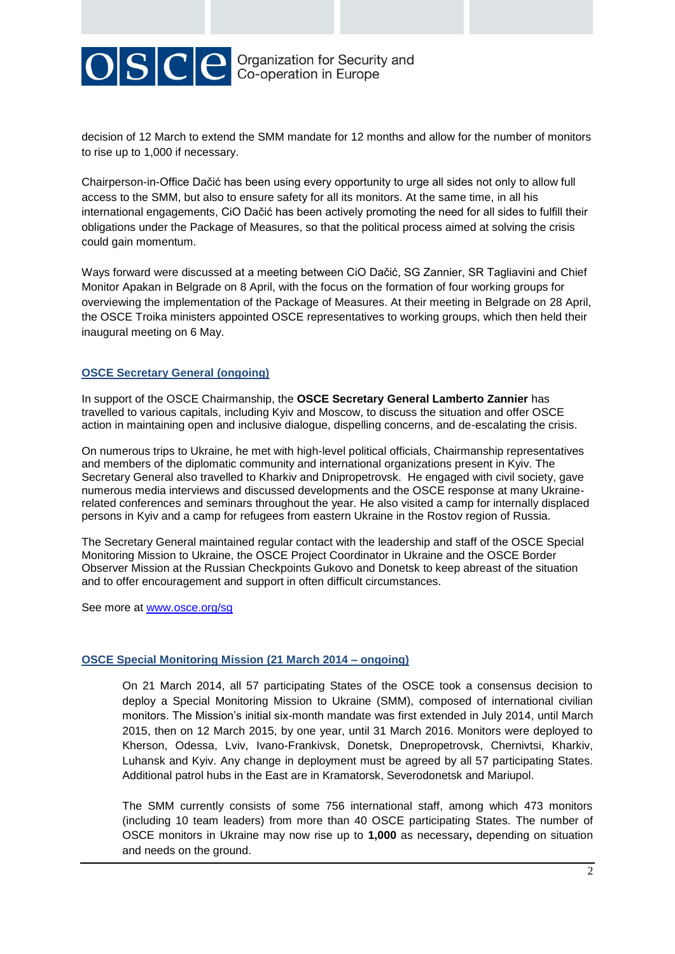

decision of 12 March to extend the SMM mandate for 12 months and allow for the number of monitors to rise up to 1,000 if necessary.

Chairperson-in-Office Dačić has been using every opportunity to urge all sides not only to allow full access to the SMM, but also to ensure safety for all its monitors. At the same time, in all his international engagements, CiO Dačić has been actively promoting the need for all sides to fulfill their obligations under the Package of Measures, so that the political process aimed at solving the crisis could gain momentum.

Ways forward were discussed at a meeting between CiO Dačić, SG Zannier, SR Tagliavini and Chief Monitor Apakan in Belgrade on 8 April, with the focus on the formation of four working groups for overviewing the implementation of the Package of Measures. At their meeting in Belgrade on 28 April, the OSCE Troika ministers appointed OSCE representatives to working groups, which then held their inaugural meeting on 6 May.

## **OSCE Secretary General (ongoing)**

In support of the OSCE Chairmanship, the **OSCE Secretary General Lamberto Zannier** has travelled to various capitals, including Kyiv and Moscow, to discuss the situation and offer OSCE action in maintaining open and inclusive dialogue, dispelling concerns, and de-escalating the crisis.

On numerous trips to Ukraine, he met with high-level political officials, Chairmanship representatives and members of the diplomatic community and international organizations present in Kyiv. The Secretary General also travelled to Kharkiv and Dnipropetrovsk. He engaged with civil society, gave numerous media interviews and discussed developments and the OSCE response at many Ukrainerelated conferences and seminars throughout the year. He also visited a camp for internally displaced persons in Kyiv and a camp for refugees from eastern Ukraine in the Rostov region of Russia.

The Secretary General maintained regular contact with the leadership and staff of the OSCE Special Monitoring Mission to Ukraine, the OSCE Project Coordinator in Ukraine and the OSCE Border Observer Mission at the Russian Checkpoints Gukovo and Donetsk to keep abreast of the situation and to offer encouragement and support in often difficult circumstances.

See more at **www.osce.org/sg** 

## **OSCE Special Monitoring Mission (21 March 2014 – ongoing)**

On 21 March 2014, all 57 participating States of the OSCE took a consensus decision to deploy a Special Monitoring Mission to Ukraine (SMM), composed of international civilian monitors. The Mission's initial six-month mandate was first extended in July 2014, until March 2015, then on 12 March 2015, by one year, until 31 March 2016. Monitors were deployed to Kherson, Odessa, Lviv, Ivano-Frankivsk, Donetsk, Dnepropetrovsk, Chernivtsi, Kharkiv, Luhansk and Kyiv. Any change in deployment must be agreed by all 57 participating States. Additional patrol hubs in the East are in Kramatorsk, Severodonetsk and Mariupol.

The SMM currently consists of some 756 international staff, among which 473 monitors (including 10 team leaders) from more than 40 OSCE participating States. The number of OSCE monitors in Ukraine may now rise up to **1,000** as necessary**,** depending on situation and needs on the ground.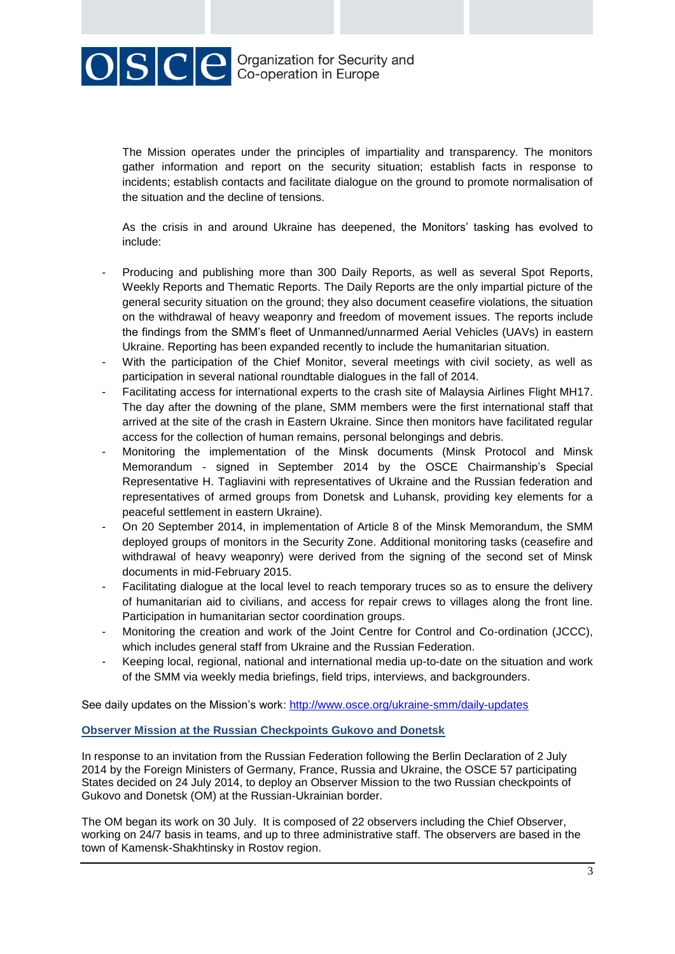OSCE Crganization for Security and

The Mission operates under the principles of impartiality and transparency. The monitors gather information and report on the security situation; establish facts in response to incidents; establish contacts and facilitate dialogue on the ground to promote normalisation of the situation and the decline of tensions.

As the crisis in and around Ukraine has deepened, the Monitors' tasking has evolved to include:

- Producing and publishing more than 300 Daily Reports, as well as several Spot Reports, Weekly Reports and Thematic Reports. The Daily Reports are the only impartial picture of the general security situation on the ground; they also document ceasefire violations, the situation on the withdrawal of heavy weaponry and freedom of movement issues. The reports include the findings from the SMM's fleet of Unmanned/unnarmed Aerial Vehicles (UAVs) in eastern Ukraine. Reporting has been expanded recently to include the humanitarian situation.
- With the participation of the Chief Monitor, several meetings with civil society, as well as participation in several national roundtable dialogues in the fall of 2014.
- Facilitating access for international experts to the crash site of Malaysia Airlines Flight MH17. The day after the downing of the plane, SMM members were the first international staff that arrived at the site of the crash in Eastern Ukraine. Since then monitors have facilitated regular access for the collection of human remains, personal belongings and debris.
- Monitoring the implementation of the Minsk documents (Minsk Protocol and Minsk Memorandum - signed in September 2014 by the OSCE Chairmanship's Special Representative H. Tagliavini with representatives of Ukraine and the Russian federation and representatives of armed groups from Donetsk and Luhansk, providing key elements for a peaceful settlement in eastern Ukraine).
- On 20 September 2014, in implementation of Article 8 of the Minsk Memorandum, the SMM deployed groups of monitors in the Security Zone. Additional monitoring tasks (ceasefire and withdrawal of heavy weaponry) were derived from the signing of the second set of Minsk documents in mid-February 2015.
- Facilitating dialogue at the local level to reach temporary truces so as to ensure the delivery of humanitarian aid to civilians, and access for repair crews to villages along the front line. Participation in humanitarian sector coordination groups.
- Monitoring the creation and work of the Joint Centre for Control and Co-ordination (JCCC), which includes general staff from Ukraine and the Russian Federation.
- Keeping local, regional, national and international media up-to-date on the situation and work of the SMM via weekly media briefings, field trips, interviews, and backgrounders.

See daily updates on the Mission's work:<http://www.osce.org/ukraine-smm/daily-updates>

## **Observer Mission at the Russian Checkpoints Gukovo and Donetsk**

In response to an invitation from the Russian Federation following the Berlin Declaration of 2 July 2014 by the Foreign Ministers of Germany, France, Russia and Ukraine, the OSCE 57 participating States decided on 24 July 2014, to deploy an Observer Mission to the two Russian checkpoints of Gukovo and Donetsk (OM) at the Russian-Ukrainian border.

The OM began its work on 30 July. It is composed of 22 observers including the Chief Observer, working on 24/7 basis in teams, and up to three administrative staff. The observers are based in the town of Kamensk-Shakhtinsky in Rostov region.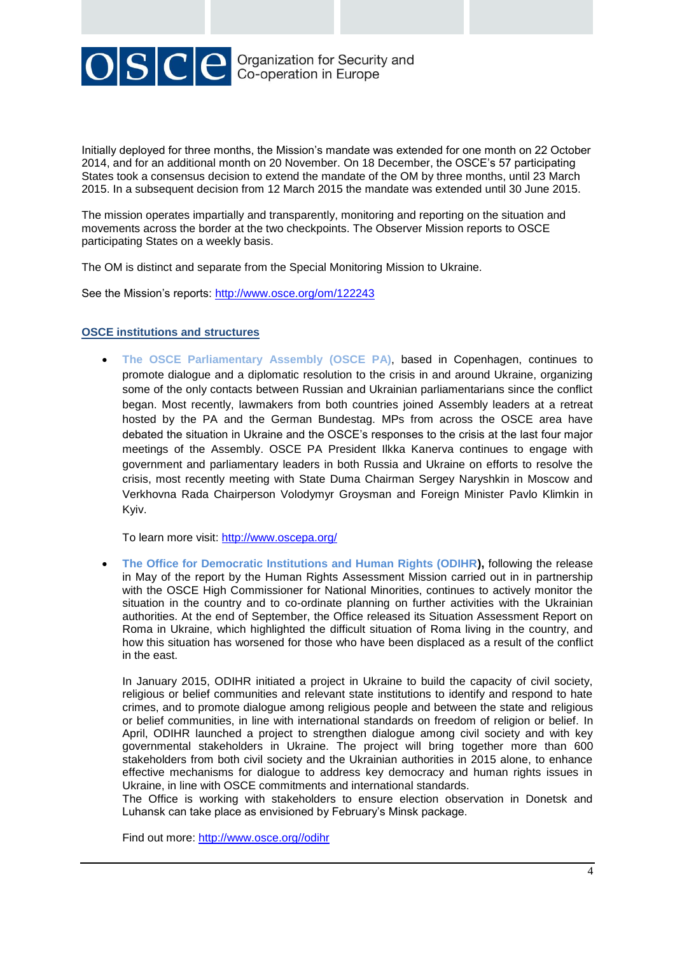

Initially deployed for three months, the Mission's mandate was extended for one month on 22 October 2014, and for an additional month on 20 November. On 18 December, the OSCE's 57 participating States took a consensus decision to extend the mandate of the OM by three months, until 23 March 2015. In a subsequent decision from 12 March 2015 the mandate was extended until 30 June 2015.

The mission operates impartially and transparently, monitoring and reporting on the situation and movements across the border at the two checkpoints. The Observer Mission reports to OSCE participating States on a weekly basis.

The OM is distinct and separate from the Special Monitoring Mission to Ukraine.

See the Mission's reports:<http://www.osce.org/om/122243>

## **OSCE institutions and structures**

 **The OSCE Parliamentary Assembly (OSCE PA)**, based in Copenhagen, continues to promote dialogue and a diplomatic resolution to the crisis in and around Ukraine, organizing some of the only contacts between Russian and Ukrainian parliamentarians since the conflict began. Most recently, lawmakers from both countries joined Assembly leaders at a retreat hosted by the PA and the German Bundestag. MPs from across the OSCE area have debated the situation in Ukraine and the OSCE's responses to the crisis at the last four major meetings of the Assembly. OSCE PA President Ilkka Kanerva continues to engage with government and parliamentary leaders in both Russia and Ukraine on efforts to resolve the crisis, most recently meeting with State Duma Chairman Sergey Naryshkin in Moscow and Verkhovna Rada Chairperson Volodymyr Groysman and Foreign Minister Pavlo Klimkin in Kyiv.

To learn more visit:<http://www.oscepa.org/>

 **The Office for Democratic Institutions and Human Rights (ODIHR),** following the release in May of the report by the Human Rights Assessment Mission carried out in in partnership with the OSCE High Commissioner for National Minorities, continues to actively monitor the situation in the country and to co-ordinate planning on further activities with the Ukrainian authorities. At the end of September, the Office released its Situation Assessment Report on Roma in Ukraine, which highlighted the difficult situation of Roma living in the country, and how this situation has worsened for those who have been displaced as a result of the conflict in the east.

In January 2015, ODIHR initiated a project in Ukraine to build the capacity of civil society, religious or belief communities and relevant state institutions to identify and respond to hate crimes, and to promote dialogue among religious people and between the state and religious or belief communities, in line with international standards on freedom of religion or belief. In April, ODIHR launched a project to strengthen dialogue among civil society and with key governmental stakeholders in Ukraine. The project will bring together more than 600 stakeholders from both civil society and the Ukrainian authorities in 2015 alone, to enhance effective mechanisms for dialogue to address key democracy and human rights issues in Ukraine, in line with OSCE commitments and international standards.

The Office is working with stakeholders to ensure election observation in Donetsk and Luhansk can take place as envisioned by February's Minsk package.

Find out more: [http://www.osce.org//odihr](http://www.osce.org/odihr)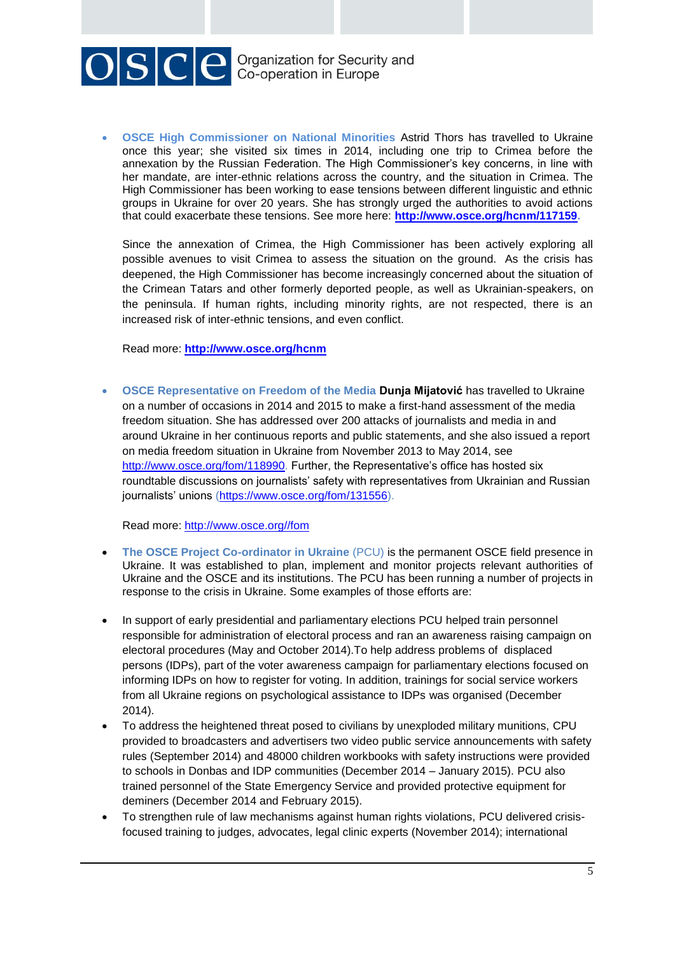

 **OSCE High Commissioner on National Minorities** Astrid Thors has travelled to Ukraine once this year; she visited six times in 2014, including one trip to Crimea before the annexation by the Russian Federation. The High Commissioner's key concerns, in line with her mandate, are inter-ethnic relations across the country, and the situation in Crimea. The High Commissioner has been working to ease tensions between different linguistic and ethnic groups in Ukraine for over 20 years. She has strongly urged the authorities to avoid actions that could exacerbate these tensions. See more here: **[http://www.osce.org/hcnm/117159.](http://www.osce.org/hcnm/117159)** 

Since the annexation of Crimea, the High Commissioner has been actively exploring all possible avenues to visit Crimea to assess the situation on the ground. As the crisis has deepened, the High Commissioner has become increasingly concerned about the situation of the Crimean Tatars and other formerly deported people, as well as Ukrainian-speakers, on the peninsula. If human rights, including minority rights, are not respected, there is an increased risk of inter-ethnic tensions, and even conflict.

Read more: **<http://www.osce.org/hcnm>**

 **OSCE Representative on Freedom of the Media Dunja Mijatović** has travelled to Ukraine on a number of occasions in 2014 and 2015 to make a first-hand assessment of the media freedom situation. She has addressed over 200 attacks of journalists and media in and around Ukraine in her continuous reports and public statements, and she also issued a report on media freedom situation in Ukraine from November 2013 to May 2014, see [http://www.osce.org/fom/118990.](http://www.osce.org/fom/118990) Further, the Representative's office has hosted six roundtable discussions on journalists' safety with representatives from Ukrainian and Russian iournalists' unions [\(https://www.osce.org/fom/131556\)](https://www.osce.org/fom/131556).

Read more: [http://www.osce.org//fom](http://www.osce.org/fom)

- **The OSCE Project Co-ordinator in Ukraine** (PCU) is the permanent OSCE field presence in Ukraine. It was established to plan, implement and monitor projects relevant authorities of Ukraine and the OSCE and its institutions. The PCU has been running a number of projects in response to the crisis in Ukraine. Some examples of those efforts are:
- In support of early presidential and parliamentary elections PCU helped train personnel responsible for administration of electoral process and ran an awareness raising campaign on electoral procedures (May and October 2014).To help address problems of displaced persons (IDPs), part of the voter awareness campaign for parliamentary elections focused on informing IDPs on how to register for voting. In addition, trainings for social service workers from all Ukraine regions on psychological assistance to IDPs was organised (December 2014).
- To address the heightened threat posed to civilians by unexploded military munitions, CPU provided to broadcasters and advertisers two video public service announcements with safety rules (September 2014) and 48000 children workbooks with safety instructions were provided to schools in Donbas and IDP communities (December 2014 – January 2015). PCU also trained personnel of the State Emergency Service and provided protective equipment for deminers (December 2014 and February 2015).
- To strengthen rule of law mechanisms against human rights violations, PCU delivered crisisfocused training to judges, advocates, legal clinic experts (November 2014); international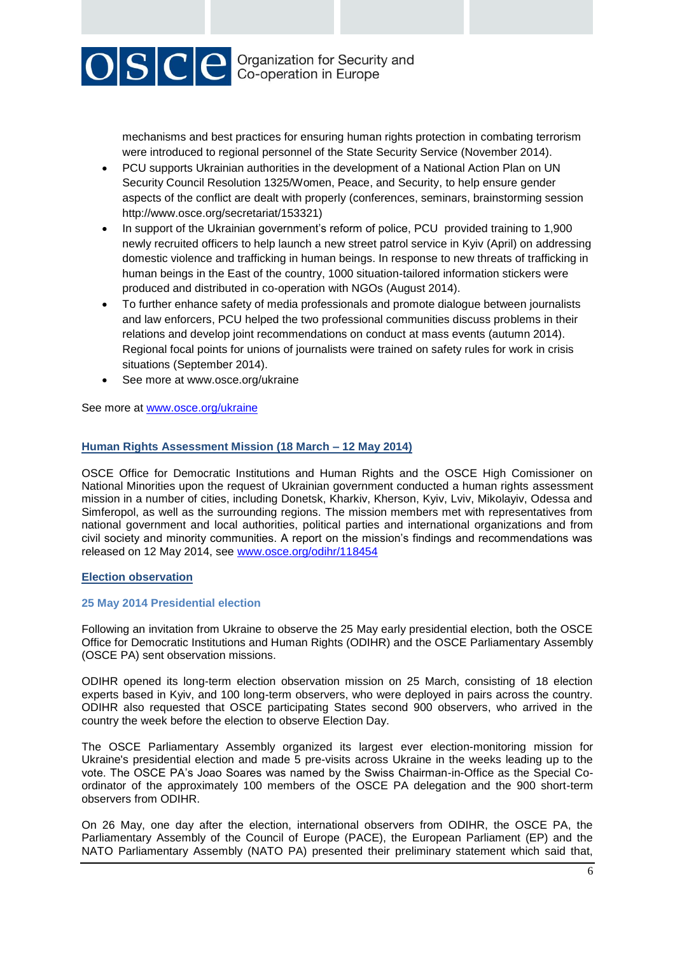

mechanisms and best practices for ensuring human rights protection in combating terrorism were introduced to regional personnel of the State Security Service (November 2014).

- PCU supports Ukrainian authorities in the development of a National Action Plan on UN Security Council Resolution 1325/Women, Peace, and Security, to help ensure gender aspects of the conflict are dealt with properly (conferences, seminars, brainstorming session http://www.osce.org/secretariat/153321)
- In support of the Ukrainian government's reform of police, PCU provided training to 1,900 newly recruited officers to help launch a new street patrol service in Kyiv (April) on addressing domestic violence and trafficking in human beings. In response to new threats of trafficking in human beings in the East of the country, 1000 situation-tailored information stickers were produced and distributed in co-operation with NGOs (August 2014).
- To further enhance safety of media professionals and promote dialogue between journalists and law enforcers, PCU helped the two professional communities discuss problems in their relations and develop joint recommendations on conduct at mass events (autumn 2014). Regional focal points for unions of journalists were trained on safety rules for work in crisis situations (September 2014).
- See more at www.osce.org/ukraine

See more at [www.osce.org/ukraine](file://atsecsr0624/ATSEC/Departments/SG_CMR/01%20Media/07%20Crisis_Protracted%20crisis%20COMMS/Ukraine%20crisis%202014/Factsheet%20on%20OSCE%20Engagement%20with%20Ukraine/www.osce.org/ukraine)

## **Human Rights Assessment Mission (18 March – 12 May 2014)**

OSCE Office for Democratic Institutions and Human Rights and the OSCE High Comissioner on National Minorities upon the request of Ukrainian government conducted a human rights assessment mission in a number of cities, including Donetsk, Kharkiv, Kherson, Kyiv, Lviv, Mikolayiv, Odessa and Simferopol, as well as the surrounding regions. The mission members met with representatives from national government and local authorities, political parties and international organizations and from civil society and minority communities. A report on the mission's findings and recommendations was released on 12 May 2014, see [www.osce.org/odihr/118454](http://www.osce.org/odihr/118454)

## **Election observation**

## **25 May 2014 Presidential election**

Following an invitation from Ukraine to observe the 25 May early presidential election, both the OSCE Office for Democratic Institutions and Human Rights (ODIHR) and the OSCE Parliamentary Assembly (OSCE PA) sent observation missions.

ODIHR opened its long-term election observation mission on 25 March, consisting of 18 election experts based in Kyiv, and 100 long-term observers, who were deployed in pairs across the country. ODIHR also requested that OSCE participating States second 900 observers, who arrived in the country the week before the election to observe Election Day.

The OSCE Parliamentary Assembly organized its largest ever election-monitoring mission for Ukraine's presidential election and made 5 pre-visits across Ukraine in the weeks leading up to the vote. The OSCE PA's Joao Soares was named by the Swiss Chairman-in-Office as the Special Coordinator of the approximately 100 members of the OSCE PA delegation and the 900 short-term observers from ODIHR.

On 26 May, one day after the election, international observers from ODIHR, the OSCE PA, the Parliamentary Assembly of the Council of Europe (PACE), the European Parliament (EP) and the NATO Parliamentary Assembly (NATO PA) presented their preliminary statement which said that,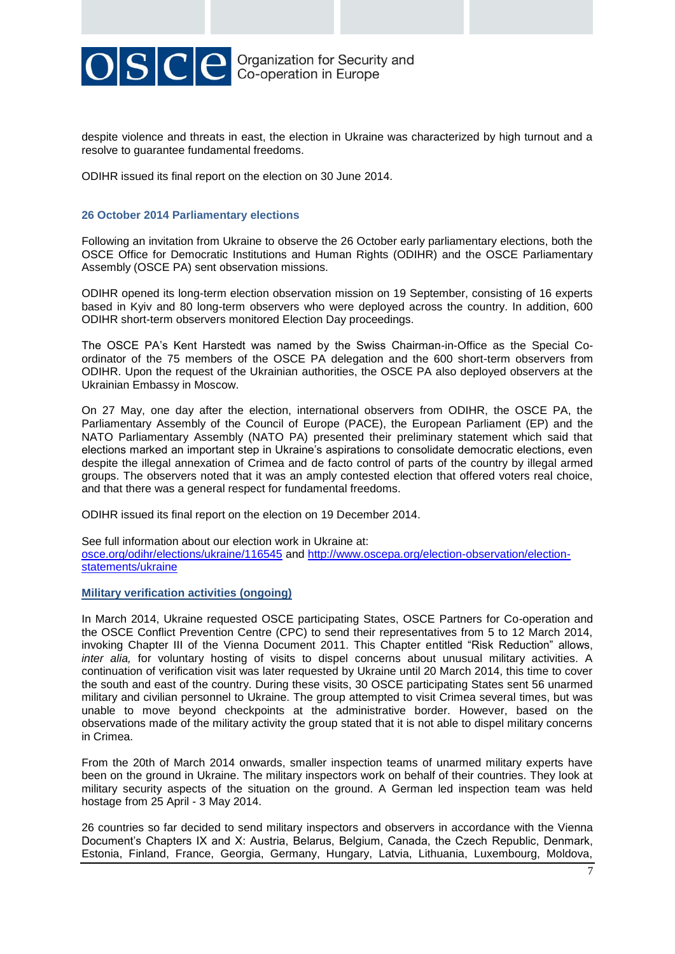

despite violence and threats in east, the election in Ukraine was characterized by high turnout and a resolve to guarantee fundamental freedoms.

ODIHR issued its final report on the election on 30 June 2014.

## **26 October 2014 Parliamentary elections**

Following an invitation from Ukraine to observe the 26 October early parliamentary elections, both the OSCE Office for Democratic Institutions and Human Rights (ODIHR) and the OSCE Parliamentary Assembly (OSCE PA) sent observation missions.

ODIHR opened its long-term election observation mission on 19 September, consisting of 16 experts based in Kyiv and 80 long-term observers who were deployed across the country. In addition, 600 ODIHR short-term observers monitored Election Day proceedings.

The OSCE PA's Kent Harstedt was named by the Swiss Chairman-in-Office as the Special Coordinator of the 75 members of the OSCE PA delegation and the 600 short-term observers from ODIHR. Upon the request of the Ukrainian authorities, the OSCE PA also deployed observers at the Ukrainian Embassy in Moscow.

On 27 May, one day after the election, international observers from ODIHR, the OSCE PA, the Parliamentary Assembly of the Council of Europe (PACE), the European Parliament (EP) and the NATO Parliamentary Assembly (NATO PA) presented their preliminary statement which said that elections marked an important step in Ukraine's aspirations to consolidate democratic elections, even despite the illegal annexation of Crimea and de facto control of parts of the country by illegal armed groups. The observers noted that it was an amply contested election that offered voters real choice, and that there was a general respect for fundamental freedoms.

ODIHR issued its final report on the election on 19 December 2014.

See full information about our election work in Ukraine at: [osce.org/odihr/elections/ukraine/116545](http://osce.org/odihr/elections/ukraine/116545) and [http://www.oscepa.org/election-observation/election](http://www.oscepa.org/election-observation/election-statements/ukraine)[statements/ukraine](http://www.oscepa.org/election-observation/election-statements/ukraine)

## **Military verification activities (ongoing)**

In March 2014, Ukraine requested OSCE participating States, OSCE Partners for Co-operation and the OSCE Conflict Prevention Centre (CPC) to send their representatives from 5 to 12 March 2014, invoking Chapter III of the Vienna Document 2011. This Chapter entitled "Risk Reduction" allows, *inter alia,* for voluntary hosting of visits to dispel concerns about unusual military activities. A continuation of verification visit was later requested by Ukraine until 20 March 2014, this time to cover the south and east of the country. During these visits, 30 OSCE participating States sent 56 unarmed military and civilian personnel to Ukraine. The group attempted to visit Crimea several times, but was unable to move beyond checkpoints at the administrative border. However, based on the observations made of the military activity the group stated that it is not able to dispel military concerns in Crimea.

From the 20th of March 2014 onwards, smaller inspection teams of unarmed military experts have been on the ground in Ukraine. The military inspectors work on behalf of their countries. They look at military security aspects of the situation on the ground. A German led inspection team was held hostage from 25 April - 3 May 2014.

26 countries so far decided to send military inspectors and observers in accordance with the Vienna Document's Chapters IX and X: Austria, Belarus, Belgium, Canada, the Czech Republic, Denmark, Estonia, Finland, France, Georgia, Germany, Hungary, Latvia, Lithuania, Luxembourg, Moldova,